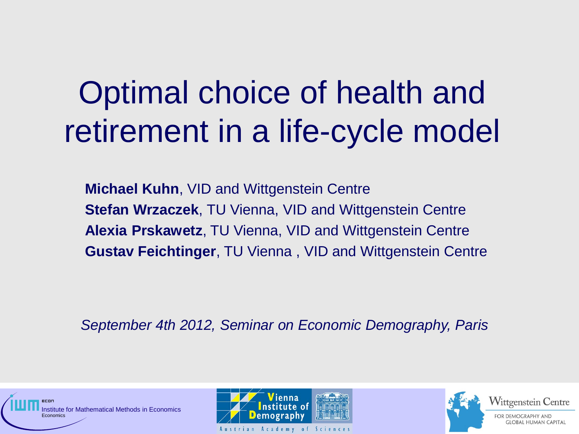# Optimal choice of health and retirement in a life-cycle model

**Michael Kuhn**, VID and Wittgenstein Centre **Stefan Wrzaczek**, TU Vienna, VID and Wittgenstein Centre **Alexia Prskawetz**, TU Vienna, VID and Wittgenstein Centre **Gustav Feichtinger**, TU Vienna , VID and Wittgenstein Centre

*September 4th 2012, Seminar on Economic Demography, Paris*





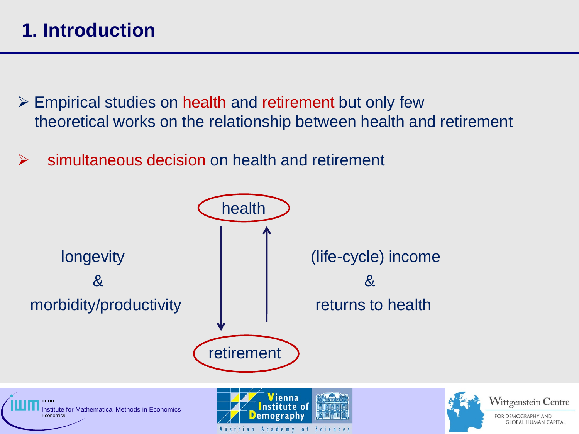## **1. Introduction**

- $\triangleright$  Empirical studies on health and retirement but only few theoretical works on the relationship between health and retirement
- $\triangleright$  simultaneous decision on health and retirement



Academy

 $\circ$  f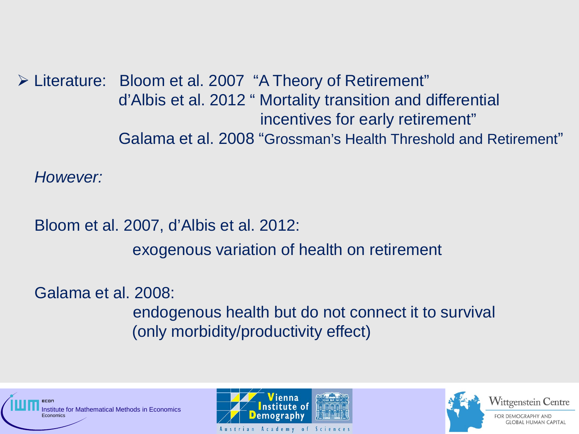Literature: Bloom et al. 2007 "A Theory of Retirement" d'Albis et al. 2012 " Mortality transition and differential incentives for early retirement" Galama et al. 2008 "Grossman's Health Threshold and Retirement"

 *However:* 

 Bloom et al. 2007, d'Albis et al. 2012: exogenous variation of health on retirement

Galama et al. 2008:

endogenous health but do not connect it to survival (only morbidity/productivity effect)





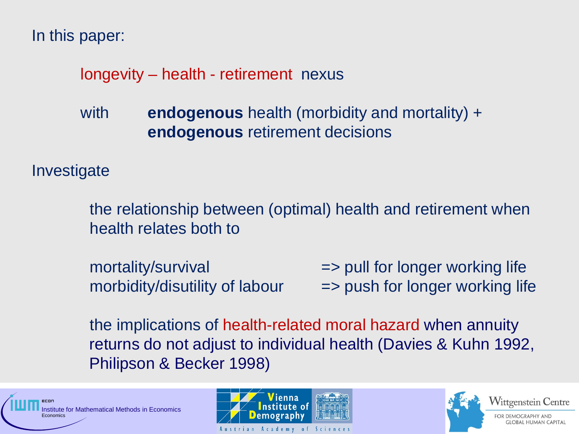In this paper:

## longevity – health - retirement nexus

 with **endogenous** health (morbidity and mortality) + **endogenous** retirement decisions

**Investigate** 

the relationship between (optimal) health and retirement when health relates both to

mortality/survival  $\longrightarrow$  pull for longer working life morbidity/disutility of labour  $\qquad \Rightarrow$  push for longer working life

the implications of health-related moral hazard when annuity returns do not adjust to individual health (Davies & Kuhn 1992, Philipson & Becker 1998)





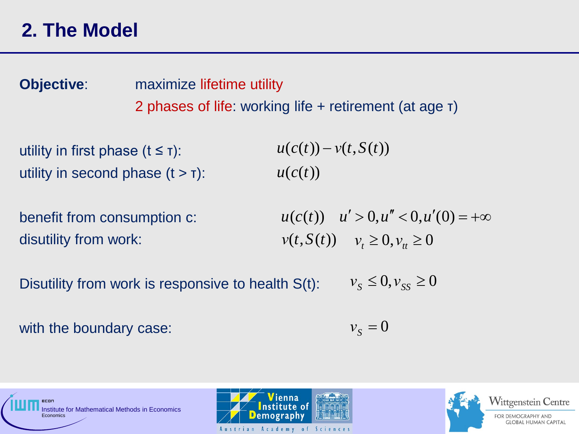**Objective:** maximize lifetime utility 2 phases of life: working life + retirement (at age τ)

utility in first phase  $(t \leq \tau)$ : utility in second phase  $(t > t)$ :  $u(c(t))$  $u(c(t)) - v(t, S(t))$ 

benefit from consumption c: disutility from work:

 $u(c(t))$   $u' > 0, u'' < 0, u'(0) = +\infty$ *ν*(*t*,*S*(*t*)) *ν*<sub>*t*</sub> ≥ 0,*ν*<sub>*tt*</sub> ≥ 0

Disutility from work is responsive to health S(t):  $v_s \leq 0, v_{ss} \geq 0$ 

with the boundary case:

 $v_s = 0$ 



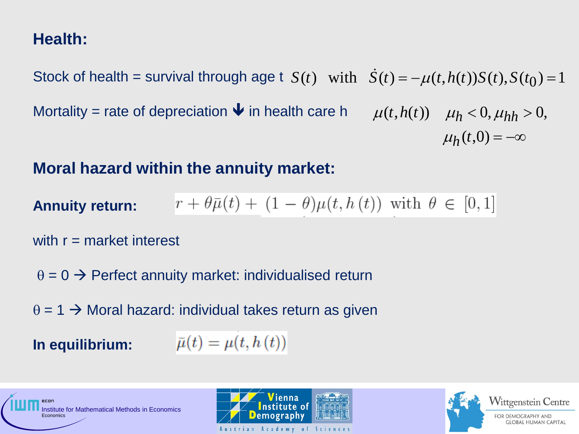## **Health:**

Stock of health = survival through age t  $S(t)$  with  $\dot{S}(t) = -\mu(t, h(t))S(t), S(t_0) = 1$ Mortality = rate of depreciation  $\blacktriangleright$  in health care h  $\mu_h(t,0) = -\infty$  $\mu(t, h(t))$   $\mu_h < 0, \mu_{hh} > 0,$ 

#### **Moral hazard within the annuity market:**

**Annuity return:** 
$$
r + \theta \bar{\mu}(t) + (1 - \theta) \mu(t, h(t)) \text{ with } \theta \in [0, 1]
$$

with  $r =$  market interest

 $\theta = 0 \rightarrow$  Perfect annuity market: individualised return

 $\theta$  = 1  $\rightarrow$  Moral hazard: individual takes return as given

**In equilibrium:** 

$$
\bar{\mu}(t)=\overline{\mu(t,h\left(t\right))}
$$



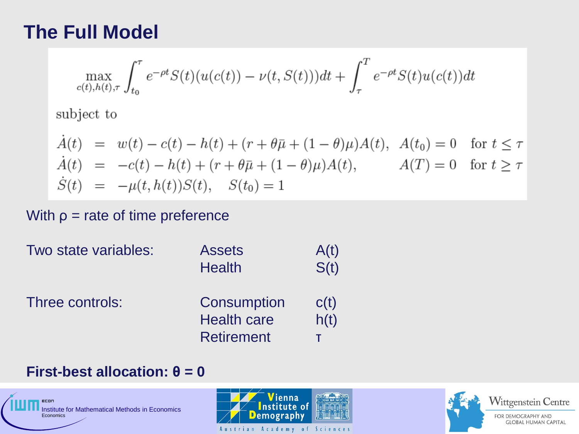## **The Full Model**

$$
\max_{c(t),h(t),\tau} \int_{t_0}^{\tau} e^{-\rho t} S(t) (u(c(t)) - \nu(t,S(t))) dt + \int_{\tau}^{T} e^{-\rho t} S(t) u(c(t)) dt
$$

subject to

$$
\dot{A}(t) = w(t) - c(t) - h(t) + (r + \theta \bar{\mu} + (1 - \theta)\mu)A(t), \quad A(t_0) = 0 \quad \text{for } t \le \tau
$$
\n
$$
\dot{A}(t) = -c(t) - h(t) + (r + \theta \bar{\mu} + (1 - \theta)\mu)A(t), \qquad A(T) = 0 \quad \text{for } t \ge \tau
$$
\n
$$
\dot{S}(t) = -\mu(t, h(t))S(t), \quad S(t_0) = 1
$$

With  $p =$  rate of time preference

| Two state variables: | <b>Assets</b><br><b>Health</b>                         | A(t)<br>S(t) |
|----------------------|--------------------------------------------------------|--------------|
| Three controls:      | Consumption<br><b>Health care</b><br><b>Retirement</b> | C(t)<br>h(t) |

#### **First-best allocation:**  $\theta = 0$





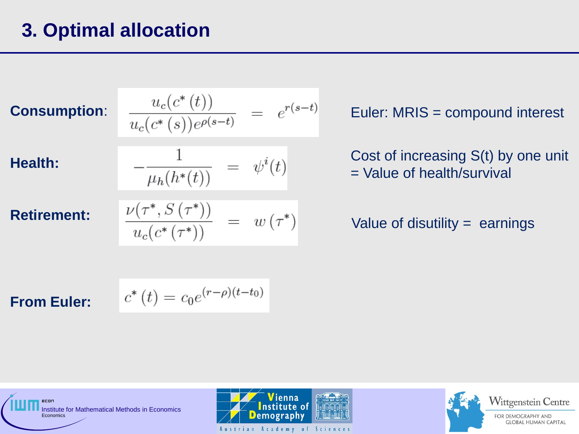## **3. Optimal allocation**

**Consumption**:

$$
\frac{u_c(c^*(t))}{u_c(c^*(s))e^{\rho(s-t)}} = e^{r(s-t)}
$$

**Health:** 

**Retirement:**

$$
-\frac{1}{\mu_h(h^*(t))} = \psi^i(t)
$$
  

$$
\frac{\nu(\tau^*, S(\tau^*))}{\psi^*(h(\tau^*))} = w(\tau^*)
$$

1

 $u_c(c^*(\tau^*))$ 

Euler: MRIS = compound interest

Cost of increasing S(t) by one unit = Value of health/survival

#### Value of disutility = earnings

**From Euler:** 

$$
c^*(t) = c_0 e^{(r-\rho)(t-t_0)}
$$



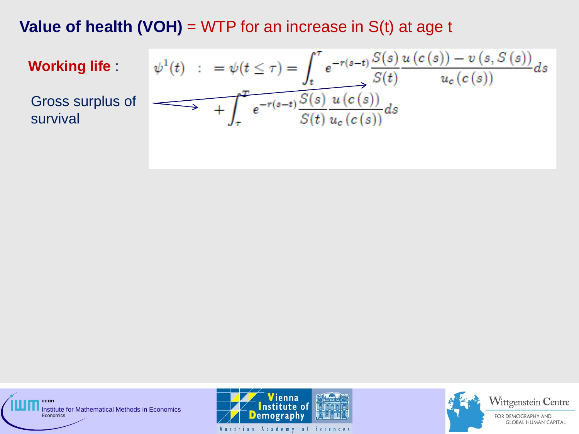**Value of health (VOH)**  $=$  WTP for an increase in  $S(t)$  at age t

**Working life** :

Gross surplus of survival

$$
\psi^1(t) \quad : \quad = \psi(t \leq \tau) = \int_t^\tau e^{-r(s-t)} \frac{S(s)}{S(t)} \frac{u(c(s)) - v(s, S(s))}{u_c(c(s))} ds
$$
\n
$$
\longrightarrow \quad + \int_\tau^T e^{-r(s-t)} \frac{S(s)}{S(t)} \frac{u(c(s))}{u_c(c(s))} ds
$$

econ Institute for Mathematical Methods in Economics **Economics** 





**GLOBAL HUMAN CAPITAL**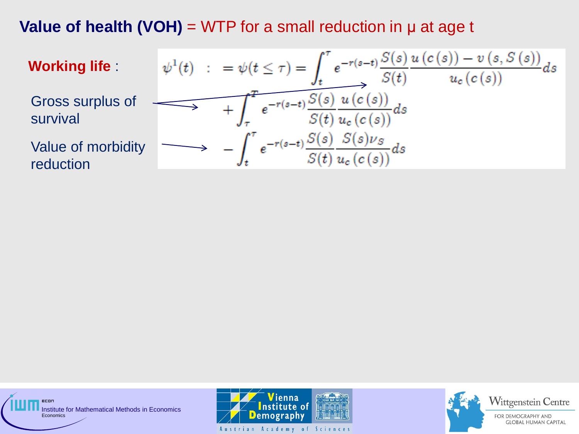**Value of health (VOH)** = WTP for a small reduction in μ at age t

**Working life :**  
\n
$$
\psi^{1}(t) : = \psi(t \leq \tau) = \int_{t}^{\tau} e^{-r(s-t)} \frac{S(s)}{S(t)} \frac{u(c(s)) - v(s, S(s))}{u_c(c(s))} ds
$$
\n
$$
\text{Gross surplus of } \longrightarrow \int_{\tau}^{\tau} e^{-r(s-t)} \frac{S(s)}{S(t)} \frac{u(c(s))}{u_c(c(s))} ds
$$
\n
$$
\text{Value of mortality } \longrightarrow \int_{t}^{\tau} e^{-r(s-t)} \frac{S(s)}{S(t)} \frac{S(s)\nu_{S}}{u_c(c(s))} ds
$$
\n
$$
\text{reduction}
$$

ECON Institute for Mathematical Methods in Economics **Economics** 





Wittgenstein Centre

FOR DEMOGRAPHY AND **GLOBAL HUMAN CAPITAL** 

Austrian Academy of Sciences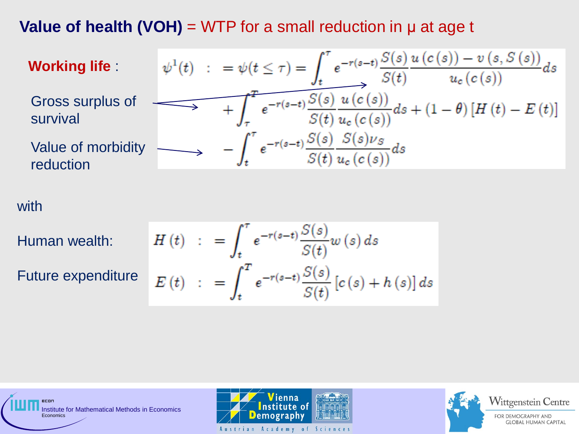**Value of health (VOH)** = WTP for a small reduction in μ at age t

**Working life :**  
\n
$$
\psi^{1}(t) : = \psi(t \leq \tau) = \int_{t}^{\tau} e^{-r(s-t)} \frac{S(s)}{S(t)} \frac{u(c(s)) - v(s, S(s))}{u_c(c(s))} ds
$$
\nGross surplus of  
\nsurvival  
\nValue of mortality  
\n
$$
- \int_{t}^{\tau} e^{-r(s-t)} \frac{S(s)}{S(t)} \frac{u(c(s))}{u_c(c(s))} ds + (1 - \theta) [H(t) - E(t)]
$$
\n
$$
- \int_{t}^{\tau} e^{-r(s-t)} \frac{S(s)}{S(t)} \frac{S(s)\nu_{S}}{u_c(c(s))} ds
$$
\nreduction

with

Human wealth:

Future expenditure

$$
H(t) := \int_{t}^{\tau} e^{-r(s-t)} \frac{S(s)}{S(t)} w(s) ds
$$
  

$$
E(t) := \int_{t}^{T} e^{-r(s-t)} \frac{S(s)}{S(t)} [c(s) + h(s)] ds
$$



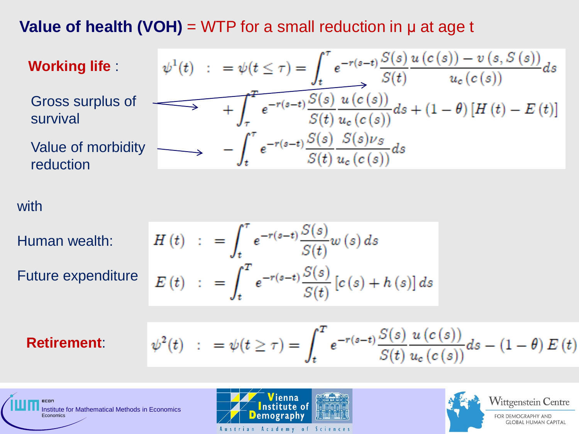**Value of health (VOH)** = WTP for a small reduction in μ at age t

**Working life :**  
\n
$$
\psi^{1}(t) : = \psi(t \leq \tau) = \int_{t}^{\tau} e^{-r(s-t)} \frac{S(s)}{S(t)} \frac{u(c(s)) - v(s, S(s))}{u_c(c(s))} ds
$$
\nGross surplus of  
\nsurvival  
\nValue of mortality  
\n
$$
- \int_{t}^{\tau} e^{-r(s-t)} \frac{S(s)}{S(t)} \frac{u(c(s))}{u_c(c(s))} ds + (1 - \theta) [H(t) - E(t)]
$$
\n
$$
- \int_{t}^{\tau} e^{-r(s-t)} \frac{S(s)}{S(t)} \frac{S(s)\nu_{S}}{u_c(c(s))} ds
$$
\nreduction

with

Human wealth:

Future expenditure

$$
H(t) := \int_{t}^{\tau} e^{-r(s-t)} \frac{S(s)}{S(t)} w(s) ds
$$
  

$$
E(t) := \int_{t}^{T} e^{-r(s-t)} \frac{S(s)}{S(t)} [c(s) + h(s)] ds
$$

#### **Retirement**:

ecor

$$
\psi^{2}(t) \quad : \quad = \psi(t \geq \tau) = \int_{t}^{T} e^{-r(s-t)} \frac{S(s)}{S(t)} \frac{u(c(s))}{u_{c}(c(s))} ds - (1 - \theta) \, E(t)
$$



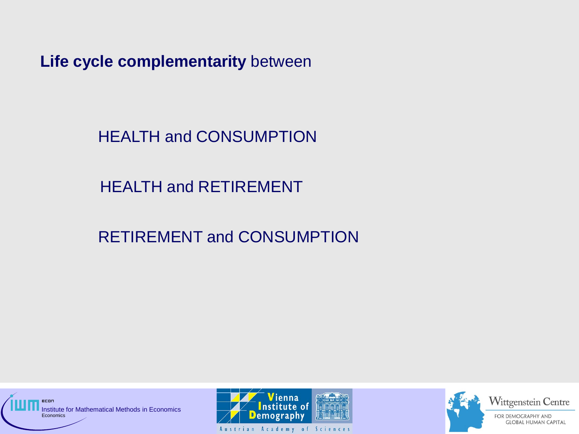**Life cycle complementarity** between

HEALTH and CONSUMPTION

HEALTH and RETIREMENT

RETIREMENT and CONSUMPTION







Wittgenstein Centre

**GLOBAL HUMAN CAPITAL**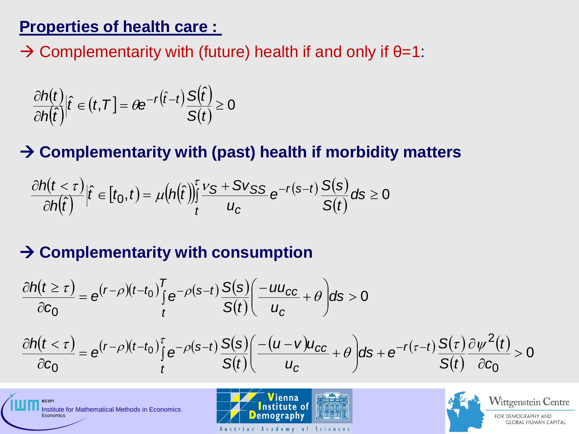## **Properties of health care :**

 $\rightarrow$  Complementarity with (future) health if and only if  $\theta$ =1:

$$
\frac{\partial h(t)}{\partial h(\hat{t})}|\hat{t}\in(t,T]=\theta e^{-r(\hat{t}-t)}\frac{S(\hat{t})}{S(t)}\geq 0
$$

## **Complementarity with (past) health if morbidity matters**

$$
\frac{\partial h(t < \tau)}{\partial h(\hat{t})} \Big| \hat{t} \in [t_0, t] = \mu \big( h(\hat{t}) \big) \frac{\tau}{t} \frac{v_S + S v_{SS}}{u_C} e^{-r(s-t)} \frac{S(s)}{S(t)} ds \ge 0
$$

## **→ Complementarity with consumption**

$$
\frac{\partial h(t \ge \tau)}{\partial c_0} = e^{(r-\rho)(t-t_0)} \int_{t}^{T} e^{-\rho(s-t)} \frac{S(s)}{S(t)} \left( \frac{-uu_{cc}}{u_c} + \theta \right) ds > 0
$$
\n
$$
\frac{\partial h(t < \tau)}{\partial c_0} = e^{(r-\rho)(t-t_0)} \int_{t}^{\tau} e^{-\rho(s-t)} \frac{S(s)}{S(t)} \left( \frac{-(u-v)u_{cc}}{u_c} + \theta \right) ds + e^{-r(\tau-t)} \frac{S(\tau)}{S(t)} \frac{\partial \psi^2(t)}{\partial c_0} > 0
$$



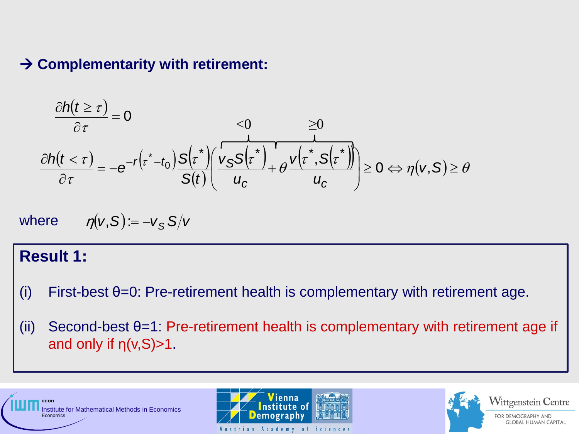#### **→ Complementarity with retirement:**

$$
\frac{\partial h(t \ge \tau)}{\partial \tau} = 0 \qquad \leq 0 \qquad \geq 0
$$
\n
$$
\frac{\partial h(t < \tau)}{\partial \tau} = -e^{-r\left(\tau^* - t_0\right)} \frac{S\left(\tau^*\right)}{S(t)} \left(\frac{v_S S\left(\tau^*\right)}{u_C} + \theta \frac{v\left(\tau^*, S\left(\tau^*\right)\right)}{u_C}\right) \geq 0 \qquad \Rightarrow \eta(v, S) \geq \theta
$$

where 
$$
\eta(v, S) := -v_S S/v
$$

#### **Result 1:**

l

- (i) First-best θ=0: Pre-retirement health is complementary with retirement age.
- (ii) Second-best  $\theta$ =1: Pre-retirement health is complementary with retirement age if and only if  $\eta(v, S) > 1$ .







Wittgenstein Centre

FOR DEMOGRAPHY AND **GLOBAL HUMAN CAPITAL**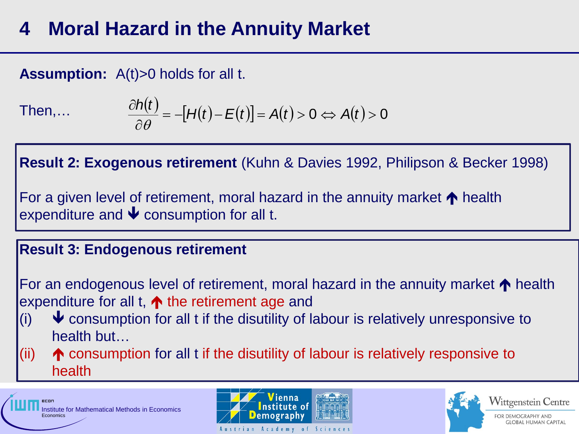## **4 Moral Hazard in the Annuity Market**

### **Assumption:** A(t)>0 holds for all t.

Then,…

$$
\frac{\partial h(t)}{\partial \theta} = -[H(t) - E(t)] = A(t) > 0 \Leftrightarrow A(t) > 0
$$

**Result 2: Exogenous retirement** (Kuhn & Davies 1992, Philipson & Becker 1998)

For a given level of retirement, moral hazard in the annuity market  $\bigwedge$  health expenditure and  $\blacklozenge$  consumption for all t.

#### **Result 3: Endogenous retirement**

For an endogenous level of retirement, moral hazard in the annuity market  $\uparrow$  health expenditure for all t,  $\spadesuit$  the retirement age and

- $\blacklozenge$  consumption for all t if the disutility of labour is relatively unresponsive to health but…  $(i)$
- (ii)  $\blacklozenge$  consumption for all t if the disutility of labour is relatively responsive to health







Wittgenstein Centre

FOR DEMOGRAPHY AND **GLOBAL HUMAN CAPITAL**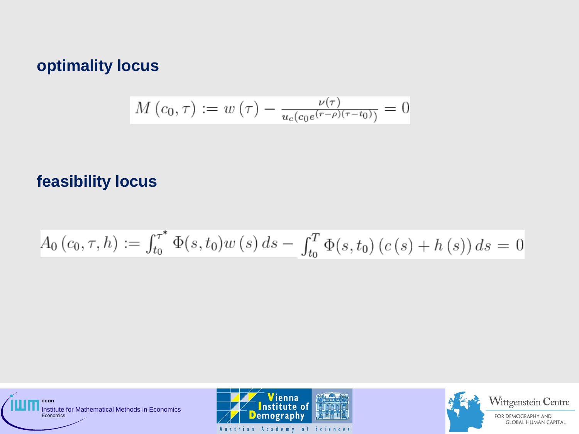### **optimality locus**

$$
M(c_0, \tau) := w(\tau) - \frac{\nu(\tau)}{u_c(c_0 e^{(\tau - \rho)(\tau - t_0)})} = 0
$$

### **feasibility locus**

$$
A_0(c_0, \tau, h) := \int_{t_0}^{\tau^*} \Phi(s, t_0) w(s) ds - \int_{t_0}^T \Phi(s, t_0) (c(s) + h(s)) ds = 0
$$



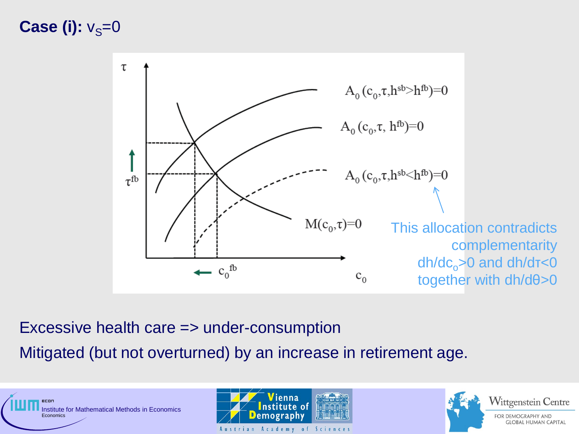## **Case (i):**  $v_s=0$



Excessive health care => under-consumption

Mitigated (but not overturned) by an increase in retirement age.





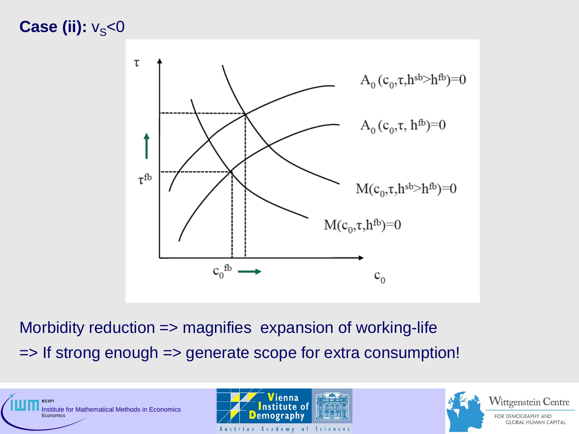## **Case (ii):**  $v_s$ <0



Morbidity reduction => magnifies expansion of working-life => If strong enough => generate scope for extra consumption!





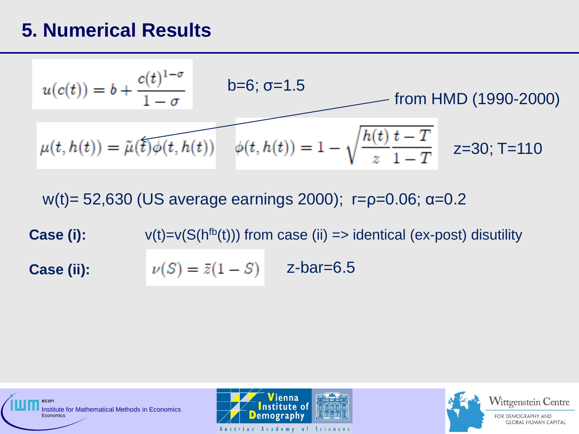## **5. Numerical Results**

$$
u(c(t)) = b + \frac{c(t)^{1-\sigma}}{1-\sigma} \qquad b=6; \sigma=1.5
$$
from HMD (1990-2000)  

$$
\mu(t, h(t)) = \tilde{\mu}(\tilde{t})\phi(t, h(t)) \qquad \phi(t, h(t)) = 1 - \sqrt{\frac{h(t)}{z}\frac{t-T}{1-T}} \qquad z=30; \text{T=110}
$$

w(t) = 52,630 (US average earnings 2000);  $r=p=0.06$ ; α=0.2

**Case (i):**  $v(t)=v(S(h<sup>fb</sup>(t)))$  from case (ii)  $\Rightarrow$  identical (ex-post) disutility **Case (ii):**   $\nu(S) = \bar{z}(1 - S)$  z-bar=6.5





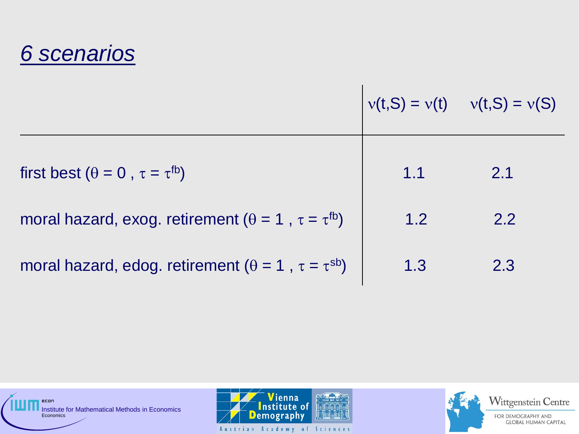## *6 scenarios*

|                                                                      |     | $v(t,S) = v(t)$ $v(t,S) = v(S)$ |
|----------------------------------------------------------------------|-----|---------------------------------|
| first best ( $\theta = 0$ , $\tau = \tau^{fb}$ )                     | 1.1 | 2.1                             |
| moral hazard, exog. retirement ( $\theta = 1$ , $\tau = \tau^{fb}$ ) | 1.2 | 2.2                             |
| moral hazard, edog. retirement ( $\theta = 1$ , $\tau = \tau^{sb}$ ) | 1.3 | 2.3                             |





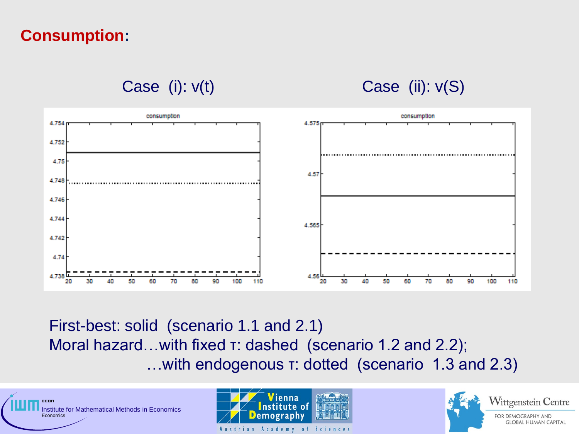## **Consumption:**

Case (i):  $v(t)$  Case (ii):  $v(S)$ 



First-best: solid (scenario 1.1 and 2.1) Moral hazard…with fixed τ: dashed (scenario 1.2 and 2.2); …with endogenous τ: dotted (scenario 1.3 and 2.3)



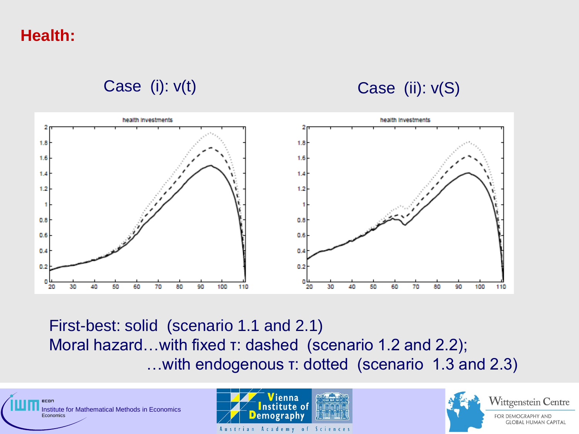**Health:** 





First-best: solid (scenario 1.1 and 2.1) Moral hazard…with fixed τ: dashed (scenario 1.2 and 2.2); …with endogenous τ: dotted (scenario 1.3 and 2.3)



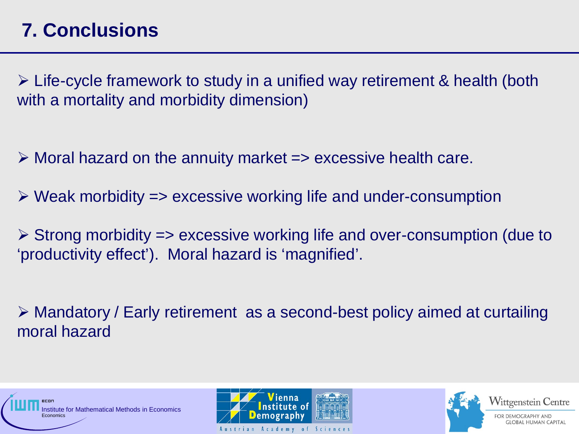## **7. Conclusions**

 $\triangleright$  Life-cycle framework to study in a unified way retirement & health (both with a mortality and morbidity dimension)

 $\triangleright$  Moral hazard on the annuity market  $\Rightarrow$  excessive health care.

 $\triangleright$  Weak morbidity  $\Rightarrow$  excessive working life and under-consumption

 $\triangleright$  Strong morbidity => excessive working life and over-consumption (due to 'productivity effect'). Moral hazard is 'magnified'.

 Mandatory / Early retirement as a second-best policy aimed at curtailing moral hazard